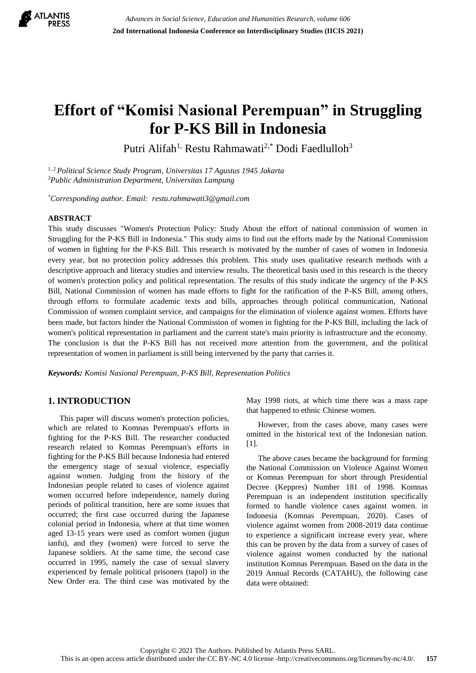

# **Effort of "Komisi Nasional Perempuan" in Struggling for P-KS Bill in Indonesia**

Putri Alifah<sup>1,</sup> Restu Rahmawati<sup>2,\*</sup> Dodi Faedlulloh<sup>3</sup>

*1, 2 Political Science Study Program, Universitas 17 Agustus 1945 Jakarta <sup>3</sup>Public Administration Department, Universitas Lampung*

*\*Corresponding author. Email: restu.rahmawati3@gmail.com*

## **ABSTRACT**

This study discusses "Women's Protection Policy: Study About the effort of national commission of women in Struggling for the P-KS Bill in Indonesia." This study aims to find out the efforts made by the National Commission of women in fighting for the P-KS Bill. This research is motivated by the number of cases of women in Indonesia every year, but no protection policy addresses this problem. This study uses qualitative research methods with a descriptive approach and literacy studies and interview results. The theoretical basis used in this research is the theory of women's protection policy and political representation. The results of this study indicate the urgency of the P-KS Bill, National Commission of women has made efforts to fight for the ratification of the P-KS Bill, among others, through efforts to formulate academic texts and bills, approaches through political communication, National Commission of women complaint service, and campaigns for the elimination of violence against women. Efforts have been made, but factors hinder the National Commission of women in fighting for the P-KS Bill, including the lack of women's political representation in parliament and the current state's main priority is infrastructure and the economy. The conclusion is that the P-KS Bill has not received more attention from the government, and the political representation of women in parliament is still being intervened by the party that carries it.

*Keywords: Komisi Nasional Perempuan, P-KS Bill, Representation Politics*

## **1. INTRODUCTION**

This paper will discuss women's protection policies, which are related to Komnas Perempuan's efforts in fighting for the P-KS Bill. The researcher conducted research related to Komnas Perempuan's efforts in fighting for the P-KS Bill because Indonesia had entered the emergency stage of sexual violence, especially against women. Judging from the history of the Indonesian people related to cases of violence against women occurred before independence, namely during periods of political transition, here are some issues that occurred; the first case occurred during the Japanese colonial period in Indonesia, where at that time women aged 13-15 years were used as comfort women (jugun ianfu), and they (women) were forced to serve the Japanese soldiers. At the same time, the second case occurred in 1995, namely the case of sexual slavery experienced by female political prisoners (tapol) in the New Order era. The third case was motivated by the May 1998 riots, at which time there was a mass rape that happened to ethnic Chinese women.

However, from the cases above, many cases were omitted in the historical text of the Indonesian nation. [1].

The above cases became the background for forming the National Commission on Violence Against Women or Komnas Perempuan for short through Presidential Decree (Keppres) Number 181 of 1998. Komnas Perempuan is an independent institution specifically formed to handle violence cases against women. in Indonesia (Komnas Perempuan, 2020). Cases of violence against women from 2008-2019 data continue to experience a significant increase every year, where this can be proven by the data from a survey of cases of violence against women conducted by the national institution Komnas Perempuan. Based on the data in the 2019 Annual Records (CATAHU), the following case data were obtained: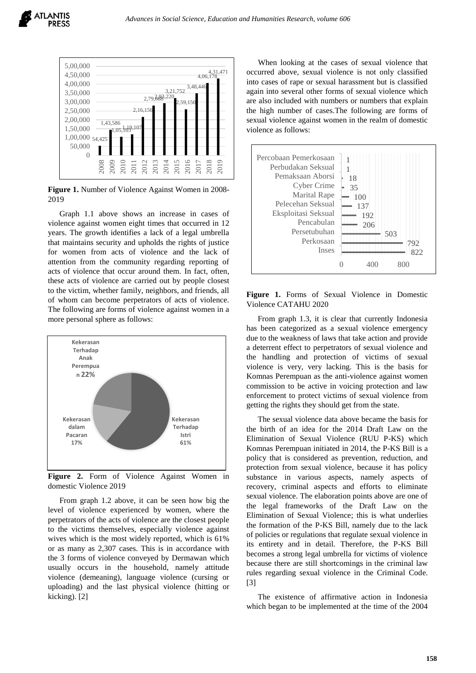

**Figure 1.** Number of Violence Against Women in 2008- 2019

Graph 1.1 above shows an increase in cases of violence against women eight times that occurred in 12 years. The growth identifies a lack of a legal umbrella that maintains security and upholds the rights of justice for women from acts of violence and the lack of attention from the community regarding reporting of acts of violence that occur around them. In fact, often, these acts of violence are carried out by people closest to the victim, whether family, neighbors, and friends, all of whom can become perpetrators of acts of violence. The following are forms of violence against women in a more personal sphere as follows:



**Figure 2.** Form of Violence Against Women in domestic Violence 2019

From graph 1.2 above, it can be seen how big the level of violence experienced by women, where the perpetrators of the acts of violence are the closest people to the victims themselves, especially violence against wives which is the most widely reported, which is 61% or as many as 2,307 cases. This is in accordance with the 3 forms of violence conveyed by Dermawan which usually occurs in the household, namely attitude violence (demeaning), language violence (cursing or uploading) and the last physical violence (hitting or kicking). [2]

When looking at the cases of sexual violence that occurred above, sexual violence is not only classified into cases of rape or sexual harassment but is classified again into several other forms of sexual violence which are also included with numbers or numbers that explain the high number of cases.The following are forms of sexual violence against women in the realm of domestic violence as follows:



**Figure 1.** Forms of Sexual Violence in Domestic Violence CATAHU 2020

From graph 1.3, it is clear that currently Indonesia has been categorized as a sexual violence emergency due to the weakness of laws that take action and provide a deterrent effect to perpetrators of sexual violence and the handling and protection of victims of sexual violence is very, very lacking. This is the basis for Komnas Perempuan as the anti-violence against women commission to be active in voicing protection and law enforcement to protect victims of sexual violence from getting the rights they should get from the state.

The sexual violence data above became the basis for the birth of an idea for the 2014 Draft Law on the Elimination of Sexual Violence (RUU P-KS) which Komnas Perempuan initiated in 2014, the P-KS Bill is a policy that is considered as prevention, reduction, and protection from sexual violence, because it has policy substance in various aspects, namely aspects of recovery, criminal aspects and efforts to eliminate sexual violence. The elaboration points above are one of the legal frameworks of the Draft Law on the Elimination of Sexual Violence; this is what underlies the formation of the P-KS Bill, namely due to the lack of policies or regulations that regulate sexual violence in its entirety and in detail. Therefore, the P-KS Bill becomes a strong legal umbrella for victims of violence because there are still shortcomings in the criminal law rules regarding sexual violence in the Criminal Code. [3]

The existence of affirmative action in Indonesia which began to be implemented at the time of the 2004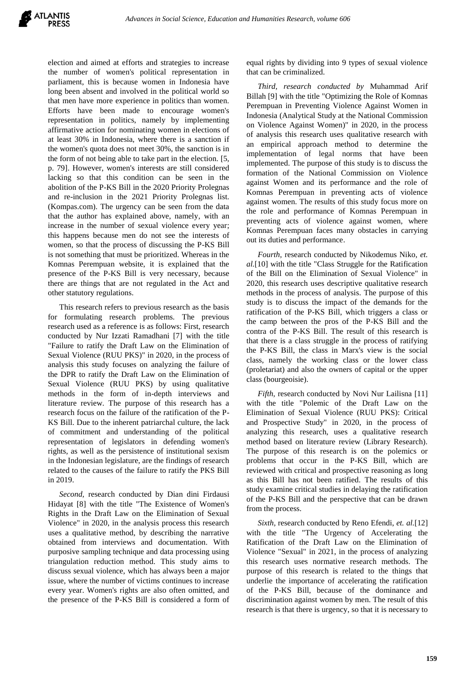election and aimed at efforts and strategies to increase the number of women's political representation in parliament, this is because women in Indonesia have long been absent and involved in the political world so that men have more experience in politics than women. Efforts have been made to encourage women's representation in politics, namely by implementing affirmative action for nominating women in elections of at least 30% in Indonesia, where there is a sanction if the women's quota does not meet 30%, the sanction is in the form of not being able to take part in the election. [5, p. 79]. However, women's interests are still considered lacking so that this condition can be seen in the abolition of the P-KS Bill in the 2020 Priority Prolegnas and re-inclusion in the 2021 Priority Prolegnas list. (Kompas.com). The urgency can be seen from the data that the author has explained above, namely, with an increase in the number of sexual violence every year; this happens because men do not see the interests of women, so that the process of discussing the P-KS Bill is not something that must be prioritized. Whereas in the Komnas Perempuan website, it is explained that the presence of the P-KS Bill is very necessary, because there are things that are not regulated in the Act and other statutory regulations.

This research refers to previous research as the basis for formulating research problems. The previous research used as a reference is as follows: First, research conducted by Nur Izzati Ramadhani [7] with the title "Failure to ratify the Draft Law on the Elimination of Sexual Violence (RUU PKS)" in 2020, in the process of analysis this study focuses on analyzing the failure of the DPR to ratify the Draft Law on the Elimination of Sexual Violence (RUU PKS) by using qualitative methods in the form of in-depth interviews and literature review. The purpose of this research has a research focus on the failure of the ratification of the P-KS Bill. Due to the inherent patriarchal culture, the lack of commitment and understanding of the political representation of legislators in defending women's rights, as well as the persistence of institutional sexism in the Indonesian legislature, are the findings of research related to the causes of the failure to ratify the PKS Bill in 2019.

*Second,* research conducted by Dian dini Firdausi Hidayat [8] with the title "The Existence of Women's Rights in the Draft Law on the Elimination of Sexual Violence" in 2020, in the analysis process this research uses a qualitative method, by describing the narrative obtained from interviews and documentation. With purposive sampling technique and data processing using triangulation reduction method. This study aims to discuss sexual violence, which has always been a major issue, where the number of victims continues to increase every year. Women's rights are also often omitted, and the presence of the P-KS Bill is considered a form of equal rights by dividing into 9 types of sexual violence that can be criminalized.

*Third, research conducted by* Muhammad Arif Billah [9] with the title "Optimizing the Role of Komnas Perempuan in Preventing Violence Against Women in Indonesia (Analytical Study at the National Commission on Violence Against Women)" in 2020, in the process of analysis this research uses qualitative research with an empirical approach method to determine the implementation of legal norms that have been implemented. The purpose of this study is to discuss the formation of the National Commission on Violence against Women and its performance and the role of Komnas Perempuan in preventing acts of violence against women. The results of this study focus more on the role and performance of Komnas Perempuan in preventing acts of violence against women, where Komnas Perempuan faces many obstacles in carrying out its duties and performance.

*Fourth,* research conducted by Nikodemus Niko, *et. al.*[10] with the title "Class Struggle for the Ratification of the Bill on the Elimination of Sexual Violence" in 2020, this research uses descriptive qualitative research methods in the process of analysis. The purpose of this study is to discuss the impact of the demands for the ratification of the P-KS Bill, which triggers a class or the camp between the pros of the P-KS Bill and the contra of the P-KS Bill. The result of this research is that there is a class struggle in the process of ratifying the P-KS Bill, the class in Marx's view is the social class, namely the working class or the lower class (proletariat) and also the owners of capital or the upper class (bourgeoisie).

*Fifth, research conducted by Novi Nur Lailisna* [11] with the title "Polemic of the Draft Law on the Elimination of Sexual Violence (RUU PKS): Critical and Prospective Study" in 2020, in the process of analyzing this research, uses a qualitative research method based on literature review (Library Research). The purpose of this research is on the polemics or problems that occur in the P-KS Bill, which are reviewed with critical and prospective reasoning as long as this Bill has not been ratified. The results of this study examine critical studies in delaying the ratification of the P-KS Bill and the perspective that can be drawn from the process.

*Sixth,* research conducted by Reno Efendi, *et. al.*[12] with the title "The Urgency of Accelerating the Ratification of the Draft Law on the Elimination of Violence "Sexual" in 2021, in the process of analyzing this research uses normative research methods. The purpose of this research is related to the things that underlie the importance of accelerating the ratification of the P-KS Bill, because of the dominance and discrimination against women by men. The result of this research is that there is urgency, so that it is necessary to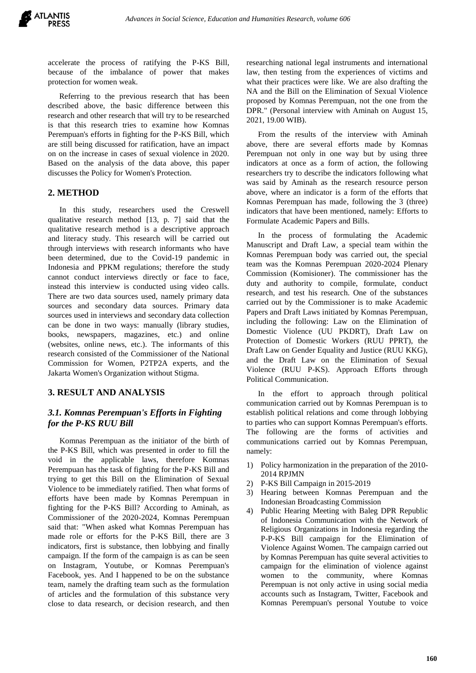accelerate the process of ratifying the P-KS Bill, because of the imbalance of power that makes protection for women weak.

Referring to the previous research that has been described above, the basic difference between this research and other research that will try to be researched is that this research tries to examine how Komnas Perempuan's efforts in fighting for the P-KS Bill, which are still being discussed for ratification, have an impact on on the increase in cases of sexual violence in 2020. Based on the analysis of the data above, this paper discusses the Policy for Women's Protection.

# **2. METHOD**

In this study, researchers used the Creswell qualitative research method [13, p. 7] said that the qualitative research method is a descriptive approach and literacy study. This research will be carried out through interviews with research informants who have been determined, due to the Covid-19 pandemic in Indonesia and PPKM regulations; therefore the study cannot conduct interviews directly or face to face, instead this interview is conducted using video calls. There are two data sources used, namely primary data sources and secondary data sources. Primary data sources used in interviews and secondary data collection can be done in two ways: manually (library studies, books, newspapers, magazines, etc.) and online (websites, online news, etc.). The informants of this research consisted of the Commissioner of the National Commission for Women, P2TP2A experts, and the Jakarta Women's Organization without Stigma.

# **3. RESULT AND ANALYSIS**

# *3.1. Komnas Perempuan's Efforts in Fighting for the P-KS RUU Bill*

Komnas Perempuan as the initiator of the birth of the P-KS Bill, which was presented in order to fill the void in the applicable laws, therefore Komnas Perempuan has the task of fighting for the P-KS Bill and trying to get this Bill on the Elimination of Sexual Violence to be immediately ratified. Then what forms of efforts have been made by Komnas Perempuan in fighting for the P-KS Bill? According to Aminah, as Commissioner of the 2020-2024, Komnas Perempuan said that: "When asked what Komnas Perempuan has made role or efforts for the P-KS Bill, there are 3 indicators, first is substance, then lobbying and finally campaign. If the form of the campaign is as can be seen on Instagram, Youtube, or Komnas Perempuan's Facebook, yes. And I happened to be on the substance team, namely the drafting team such as the formulation of articles and the formulation of this substance very close to data research, or decision research, and then researching national legal instruments and international law, then testing from the experiences of victims and what their practices were like. We are also drafting the NA and the Bill on the Elimination of Sexual Violence proposed by Komnas Perempuan, not the one from the DPR." (Personal interview with Aminah on August 15, 2021, 19.00 WIB).

From the results of the interview with Aminah above, there are several efforts made by Komnas Perempuan not only in one way but by using three indicators at once as a form of action, the following researchers try to describe the indicators following what was said by Aminah as the research resource person above, where an indicator is a form of the efforts that Komnas Perempuan has made, following the 3 (three) indicators that have been mentioned, namely: Efforts to Formulate Academic Papers and Bills.

In the process of formulating the Academic Manuscript and Draft Law, a special team within the Komnas Perempuan body was carried out, the special team was the Komnas Perempuan 2020-2024 Plenary Commission (Komisioner). The commissioner has the duty and authority to compile, formulate, conduct research, and test his research. One of the substances carried out by the Commissioner is to make Academic Papers and Draft Laws initiated by Komnas Perempuan, including the following: Law on the Elimination of Domestic Violence (UU PKDRT), Draft Law on Protection of Domestic Workers (RUU PPRT), the Draft Law on Gender Equality and Justice (RUU KKG), and the Draft Law on the Elimination of Sexual Violence (RUU P-KS). Approach Efforts through Political Communication.

In the effort to approach through political communication carried out by Komnas Perempuan is to establish political relations and come through lobbying to parties who can support Komnas Perempuan's efforts. The following are the forms of activities and communications carried out by Komnas Perempuan, namely:

- 1) Policy harmonization in the preparation of the 2010- 2014 RPJMN
- 2) P-KS Bill Campaign in 2015-2019
- 3) Hearing between Komnas Perempuan and the Indonesian Broadcasting Commission
- 4) Public Hearing Meeting with Baleg DPR Republic of Indonesia Communication with the Network of Religious Organizations in Indonesia regarding the P-P-KS Bill campaign for the Elimination of Violence Against Women. The campaign carried out by Komnas Perempuan has quite several activities to campaign for the elimination of violence against women to the community, where Komnas Perempuan is not only active in using social media accounts such as Instagram, Twitter, Facebook and Komnas Perempuan's personal Youtube to voice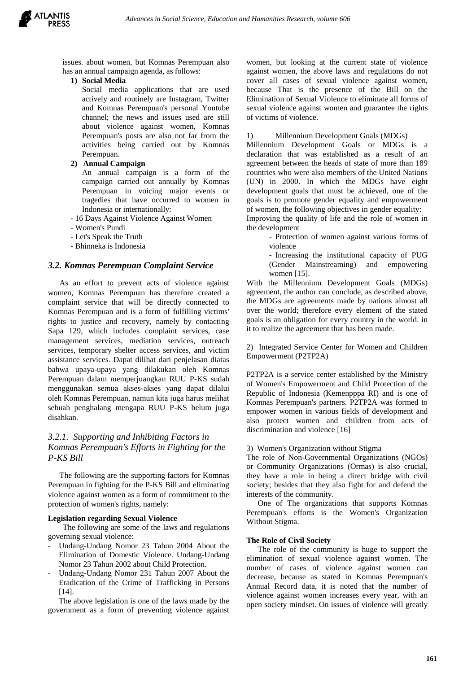

issues. about women, but Komnas Perempuan also has an annual campaign agenda, as follows:

#### **1) Social Media**

Social media applications that are used actively and routinely are Instagram, Twitter and Komnas Perempuan's personal Youtube channel; the news and issues used are still about violence against women, Komnas Perempuan's posts are also not far from the activities being carried out by Komnas Perempuan.

#### **2) Annual Campaign**

An annual campaign is a form of the campaign carried out annually by Komnas Perempuan in voicing major events or tragedies that have occurred to women in Indonesia or internationally:

- 16 Days Against Violence Against Women
- Women's Pundi
- Let's Speak the Truth
- Bhinneka is Indonesia

#### *3.2. Komnas Perempuan Complaint Service*

As an effort to prevent acts of violence against women, Komnas Perempuan has therefore created a complaint service that will be directly connected to Komnas Perempuan and is a form of fulfilling victims' rights to justice and recovery, namely by contacting Sapa 129, which includes complaint services, case management services, mediation services, outreach services, temporary shelter access services, and victim assistance services. Dapat dilihat dari penjelasan diatas bahwa upaya-upaya yang dilakukan oleh Komnas Perempuan dalam memperjuangkan RUU P-KS sudah menggunakan semua akses-akses yang dapat dilalui oleh Komnas Perempuan, namun kita juga harus melihat sebuah penghalang mengapa RUU P-KS belum juga disahkan.

## *3.2.1. Supporting and Inhibiting Factors in Komnas Perempuan's Efforts in Fighting for the P-KS Bill*

The following are the supporting factors for Komnas Perempuan in fighting for the P-KS Bill and eliminating violence against women as a form of commitment to the protection of women's rights, namely:

#### **Legislation regarding Sexual Violence**

 The following are some of the laws and regulations governing sexual violence:

- Undang-Undang Nomor 23 Tahun 2004 About the Elimination of Domestic Violence. Undang-Undang Nomor 23 Tahun 2002 about Child Protection.
- Undang-Undang Nomor 231 Tahun 2007 About the Eradication of the Crime of Trafficking in Persons [14].

The above legislation is one of the laws made by the government as a form of preventing violence against women, but looking at the current state of violence against women, the above laws and regulations do not cover all cases of sexual violence against women, because That is the presence of the Bill on the Elimination of Sexual Violence to eliminate all forms of sexual violence against women and guarantee the rights of victims of violence.

#### 1) Millennium Development Goals (MDGs)

Millennium Development Goals or MDGs is a declaration that was established as a result of an agreement between the heads of state of more than 189 countries who were also members of the United Nations (UN) in 2000. In which the MDGs have eight development goals that must be achieved, one of the goals is to promote gender equality and empowerment of women, the following objectives in gender equality:

Improving the quality of life and the role of women in the development

> - Protection of women against various forms of violence

> - Increasing the institutional capacity of PUG (Gender Mainstreaming) and empowering women [15].

With the Millennium Development Goals (MDGs) agreement, the author can conclude, as described above, the MDGs are agreements made by nations almost all over the world; therefore every element of the stated goals is an obligation for every country in the world. in it to realize the agreement that has been made.

2) Integrated Service Center for Women and Children Empowerment (P2TP2A)

P2TP2A is a service center established by the Ministry of Women's Empowerment and Child Protection of the Republic of Indonesia (Kemenpppa RI) and is one of Komnas Perempuan's partners. P2TP2A was formed to empower women in various fields of development and also protect women and children from acts of discrimination and violence [16]

#### 3) Women's Organization without Stigma

The role of Non-Governmental Organizations (NGOs) or Community Organizations (Ormas) is also crucial, they have a role in being a direct bridge with civil society; besides that they also fight for and defend the interests of the community.

One of The organizations that supports Komnas Perempuan's efforts is the Women's Organization Without Stigma.

#### **The Role of Civil Society**

The role of the community is huge to support the elimination of sexual violence against women. The number of cases of violence against women can decrease, because as stated in Komnas Perempuan's Annual Record data, it is noted that the number of violence against women increases every year, with an open society mindset. On issues of violence will greatly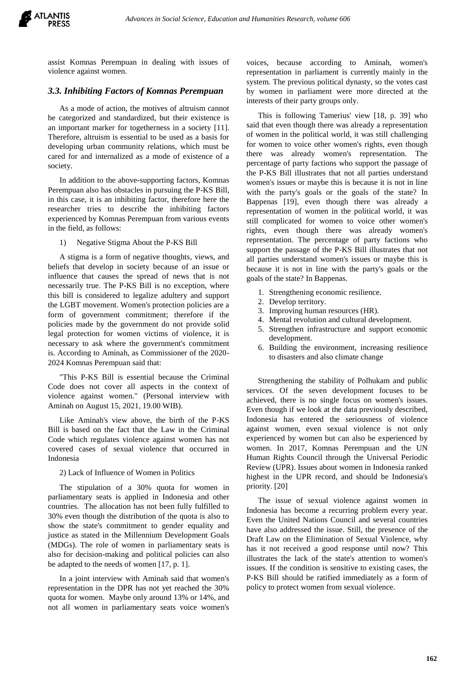assist Komnas Perempuan in dealing with issues of violence against women.

## *3.3. Inhibiting Factors of Komnas Perempuan*

As a mode of action, the motives of altruism cannot be categorized and standardized, but their existence is an important marker for togetherness in a society [11]. Therefore, altruism is essential to be used as a basis for developing urban community relations, which must be cared for and internalized as a mode of existence of a society.

In addition to the above-supporting factors, Komnas Perempuan also has obstacles in pursuing the P-KS Bill, in this case, it is an inhibiting factor, therefore here the researcher tries to describe the inhibiting factors experienced by Komnas Perempuan from various events in the field, as follows:

1) Negative Stigma About the P-KS Bill

A stigma is a form of negative thoughts, views, and beliefs that develop in society because of an issue or influence that causes the spread of news that is not necessarily true. The P-KS Bill is no exception, where this bill is considered to legalize adultery and support the LGBT movement. Women's protection policies are a form of government commitment; therefore if the policies made by the government do not provide solid legal protection for women victims of violence, it is necessary to ask where the government's commitment is. According to Aminah, as Commissioner of the 2020- 2024 Komnas Perempuan said that:

"This P-KS Bill is essential because the Criminal Code does not cover all aspects in the context of violence against women." (Personal interview with Aminah on August 15, 2021, 19.00 WIB).

Like Aminah's view above, the birth of the P-KS Bill is based on the fact that the Law in the Criminal Code which regulates violence against women has not covered cases of sexual violence that occurred in Indonesia

2) Lack of Influence of Women in Politics

The stipulation of a 30% quota for women in parliamentary seats is applied in Indonesia and other countries. The allocation has not been fully fulfilled to 30% even though the distribution of the quota is also to show the state's commitment to gender equality and justice as stated in the Millennium Development Goals (MDGs). The role of women in parliamentary seats is also for decision-making and political policies can also be adapted to the needs of women [17, p. 1].

In a joint interview with Aminah said that women's representation in the DPR has not yet reached the 30% quota for women. Maybe only around 13% or 14%, and not all women in parliamentary seats voice women's

voices, because according to Aminah, women's representation in parliament is currently mainly in the system. The previous political dynasty, so the votes cast by women in parliament were more directed at the interests of their party groups only.

This is following Tamerius' view [18, p. 39] who said that even though there was already a representation of women in the political world, it was still challenging for women to voice other women's rights, even though there was already women's representation. The percentage of party factions who support the passage of the P-KS Bill illustrates that not all parties understand women's issues or maybe this is because it is not in line with the party's goals or the goals of the state? In Bappenas [19], even though there was already a representation of women in the political world, it was still complicated for women to voice other women's rights, even though there was already women's representation. The percentage of party factions who support the passage of the P-KS Bill illustrates that not all parties understand women's issues or maybe this is because it is not in line with the party's goals or the goals of the state? In Bappenas.

- 1. Strengthening economic resilience.
- 2. Develop territory.
- 3. Improving human resources (HR).
- 4. Mental revolution and cultural development.
- 5. Strengthen infrastructure and support economic development.
- 6. Building the environment, increasing resilience to disasters and also climate change

Strengthening the stability of Polhukam and public services. Of the seven development focuses to be achieved, there is no single focus on women's issues. Even though if we look at the data previously described, Indonesia has entered the seriousness of violence against women, even sexual violence is not only experienced by women but can also be experienced by women. In 2017, Komnas Perempuan and the UN Human Rights Council through the Universal Periodic Review (UPR). Issues about women in Indonesia ranked highest in the UPR record, and should be Indonesia's priority. [20]

The issue of sexual violence against women in Indonesia has become a recurring problem every year. Even the United Nations Council and several countries have also addressed the issue. Still, the presence of the Draft Law on the Elimination of Sexual Violence, why has it not received a good response until now? This illustrates the lack of the state's attention to women's issues. If the condition is sensitive to existing cases, the P-KS Bill should be ratified immediately as a form of policy to protect women from sexual violence.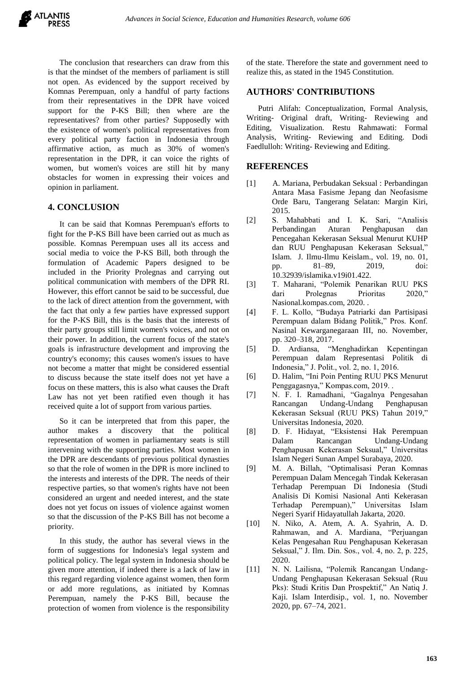The conclusion that researchers can draw from this is that the mindset of the members of parliament is still not open. As evidenced by the support received by Komnas Perempuan, only a handful of party factions from their representatives in the DPR have voiced support for the P-KS Bill; then where are the representatives? from other parties? Supposedly with the existence of women's political representatives from every political party faction in Indonesia through affirmative action, as much as 30% of women's representation in the DPR, it can voice the rights of women, but women's voices are still hit by many obstacles for women in expressing their voices and opinion in parliament.

## **4. CONCLUSION**

It can be said that Komnas Perempuan's efforts to fight for the P-KS Bill have been carried out as much as possible. Komnas Perempuan uses all its access and social media to voice the P-KS Bill, both through the formulation of Academic Papers designed to be included in the Priority Prolegnas and carrying out political communication with members of the DPR RI. However, this effort cannot be said to be successful, due to the lack of direct attention from the government, with the fact that only a few parties have expressed support for the P-KS Bill, this is the basis that the interests of their party groups still limit women's voices, and not on their power. In addition, the current focus of the state's goals is infrastructure development and improving the country's economy; this causes women's issues to have not become a matter that might be considered essential to discuss because the state itself does not yet have a focus on these matters, this is also what causes the Draft Law has not yet been ratified even though it has received quite a lot of support from various parties.

So it can be interpreted that from this paper, the author makes a discovery that the political representation of women in parliamentary seats is still intervening with the supporting parties. Most women in the DPR are descendants of previous political dynasties so that the role of women in the DPR is more inclined to the interests and interests of the DPR. The needs of their respective parties, so that women's rights have not been considered an urgent and needed interest, and the state does not yet focus on issues of violence against women so that the discussion of the P-KS Bill has not become a priority.

In this study, the author has several views in the form of suggestions for Indonesia's legal system and political policy. The legal system in Indonesia should be given more attention, if indeed there is a lack of law in this regard regarding violence against women, then form or add more regulations, as initiated by Komnas Perempuan, namely the P-KS Bill, because the protection of women from violence is the responsibility of the state. Therefore the state and government need to realize this, as stated in the 1945 Constitution.

## **AUTHORS' CONTRIBUTIONS**

Putri Alifah: Conceptualization, Formal Analysis, Writing- Original draft, Writing- Reviewing and Editing, Visualization. Restu Rahmawati: Formal Analysis, Writing- Reviewing and Editing. Dodi Faedlulloh: Writing- Reviewing and Editing.

## **REFERENCES**

- [1] A. Mariana, Perbudakan Seksual : Perbandingan Antara Masa Fasisme Jepang dan Neofasisme Orde Baru, Tangerang Selatan: Margin Kiri, 2015.
- [2] S. Mahabbati and I. K. Sari, "Analisis Perbandingan Aturan Penghapusan dan Pencegahan Kekerasan Seksual Menurut KUHP dan RUU Penghapusan Kekerasan Seksual," Islam. J. Ilmu-Ilmu Keislam., vol. 19, no. 01, pp. 81–89, 2019, doi: 10.32939/islamika.v19i01.422.
- [3] T. Maharani, "Polemik Penarikan RUU PKS dari Prolegnas Prioritas 2020," Nasional.kompas.com, 2020. .
- [4] F. L. Kollo, "Budaya Patriarki dan Partisipasi Perempuan dalam Bidang Politik," Pros. Konf. Nasinal Kewarganegaraan III, no. November, pp. 320–318, 2017.
- [5] D. Ardiansa, "Menghadirkan Kepentingan Perempuan dalam Representasi Politik di Indonesia," J. Polit., vol. 2, no. 1, 2016.
- [6] D. Halim, "Ini Poin Penting RUU PKS Menurut Penggagasnya," Kompas.com, 2019. .
- [7] N. F. I. Ramadhani, "Gagalnya Pengesahan Rancangan Undang-Undang Penghapusan Kekerasan Seksual (RUU PKS) Tahun 2019," Universitas Indonesia, 2020.
- [8] D. F. Hidayat, "Eksistensi Hak Perempuan Dalam Rancangan Undang-Undang Penghapusan Kekerasan Seksual," Universitas Islam Negeri Sunan Ampel Surabaya, 2020.
- [9] M. A. Billah, "Optimalisasi Peran Komnas Perempuan Dalam Mencegah Tindak Kekerasan Terhadap Perempuan Di Indonesia (Studi Analisis Di Komisi Nasional Anti Kekerasan Terhadap Perempuan)," Universitas Islam Negeri Syarif Hidayatullah Jakarta, 2020.
- [10] N. Niko, A. Atem, A. A. Syahrin, A. D. Rahmawan, and A. Mardiana, "Perjuangan Kelas Pengesahan Ruu Penghapusan Kekerasan Seksual," J. Ilm. Din. Sos., vol. 4, no. 2, p. 225, 2020.
- [11] N. N. Lailisna, "Polemik Rancangan Undang-Undang Penghapusan Kekerasan Seksual (Ruu Pks): Studi Kritis Dan Prospektif," An Natiq J. Kaji. Islam Interdisip., vol. 1, no. November 2020, pp. 67–74, 2021.